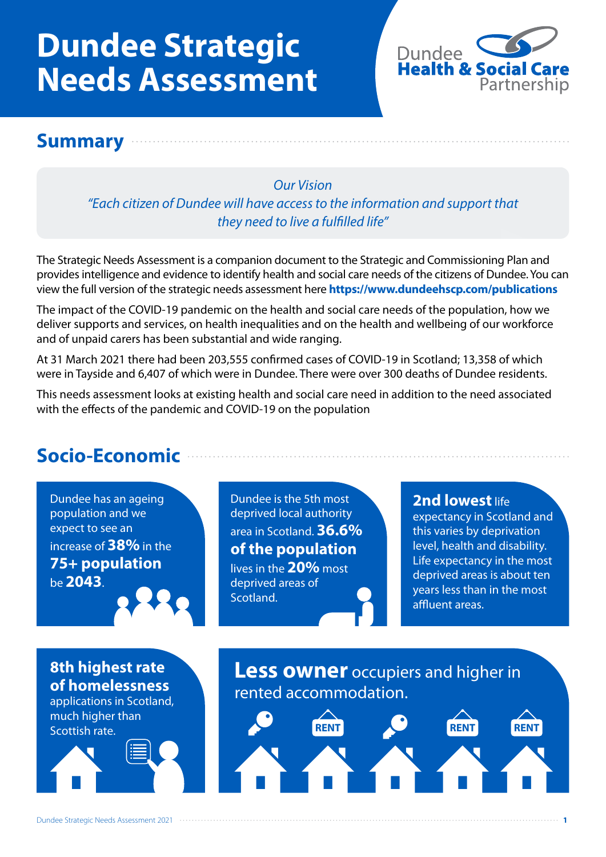# **Dundee Strategic Needs Assessment**



### **Summary**

*Our Vision "Each citizen of Dundee will have access to the information and support that they need to live a fulfilled life"*

The Strategic Needs Assessment is a companion document to the Strategic and Commissioning Plan and provides intelligence and evidence to identify health and social care needs of the citizens of Dundee. You can view the full version of the strategic needs assessment here **https://www.dundeehscp.com/publications**

The impact of the COVID-19 pandemic on the health and social care needs of the population, how we deliver supports and services, on health inequalities and on the health and wellbeing of our workforce and of unpaid carers has been substantial and wide ranging.

At 31 March 2021 there had been 203,555 confirmed cases of COVID-19 in Scotland; 13,358 of which were in Tayside and 6,407 of which were in Dundee. There were over 300 deaths of Dundee residents.

This needs assessment looks at existing health and social care need in addition to the need associated with the effects of the pandemic and COVID-19 on the population

# **Socio-Economic**

Dundee has an ageing population and we expect to see an increase of **38%** in the **75+ population** be **2043**.

Dundee is the 5th most deprived local authority area in Scotland. **36.6% of the population** lives in the **20%** most deprived areas of Scotland.

#### **2nd lowest life**

expectancy in Scotland and this varies by deprivation level, health and disability. Life expectancy in the most deprived areas is about ten years less than in the most affluent areas.

### **8th highest rate of homelessness**

applications in Scotland, much higher than Scottish rate.

**Less owner** occupiers and higher in rented accommodation.

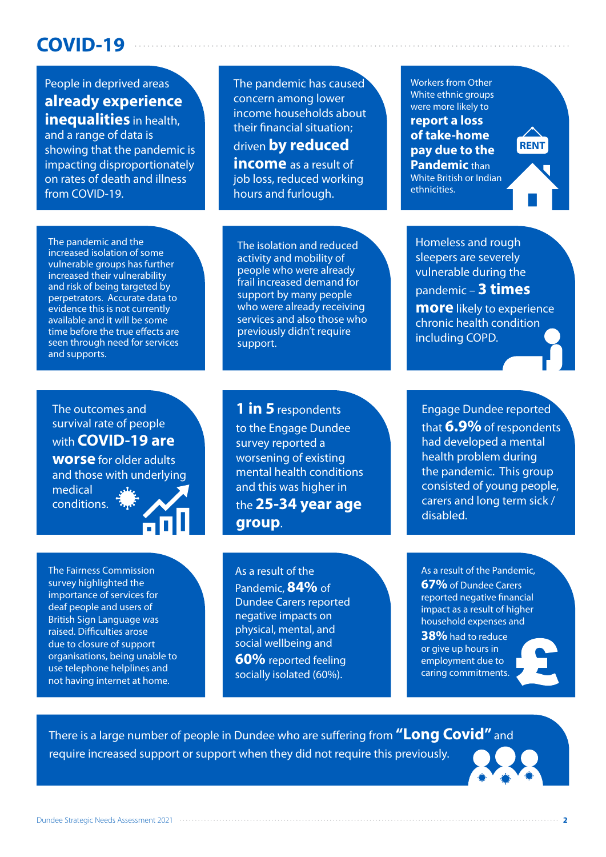## **COVID-19**

People in deprived areas **already experience inequalities** in health.

and a range of data is showing that the pandemic is impacting disproportionately on rates of death and illness from COVID-19.

The pandemic has caused concern among lower income households about their financial situation; driven **by reduced income** as a result of

job loss, reduced working hours and furlough.

The pandemic and the increased isolation of some vulnerable groups has further increased their vulnerability and risk of being targeted by perpetrators. Accurate data to evidence this is not currently available and it will be some time before the true effects are seen through need for services and supports.

The isolation and reduced activity and mobility of people who were already frail increased demand for support by many people who were already receiving services and also those who previously didn't require support.

Workers from Other White ethnic groups were more likely to

**report a loss of take-home pay due to the Pandemic** than White British or Indian ethnicities.

**RENT**

Homeless and rough sleepers are severely vulnerable during the pandemic – **3 times more** likely to experience chronic health condition including COPD.

#### The outcomes and survival rate of people with **COVID-19 are**

**worse** for older adults and those with underlying medical

conditions.

The Fairness Commission survey highlighted the importance of services for

deaf people and users of British Sign Language was raised. Difficulties arose due to closure of support organisations, being unable to use telephone helplines and not having internet at home.

#### **1 in 5** respondents

to the Engage Dundee survey reported a worsening of existing mental health conditions and this was higher in the **25-34 year age group**.

As a result of the Pandemic, **84%** of Dundee Carers reported negative impacts on physical, mental, and social wellbeing and **60%** reported feeling

socially isolated (60%).

Engage Dundee reported that **6.9%** of respondents had developed a mental health problem during the pandemic. This group consisted of young people, carers and long term sick / disabled.

As a result of the Pandemic,

**67%** of Dundee Carers reported negative financial impact as a result of higher household expenses and

**38%** had to reduce or give up hours in employment due to caring commitments.



There is a large number of people in Dundee who are suffering from **"Long Covid"** and require increased support or support when they did not require this previously.

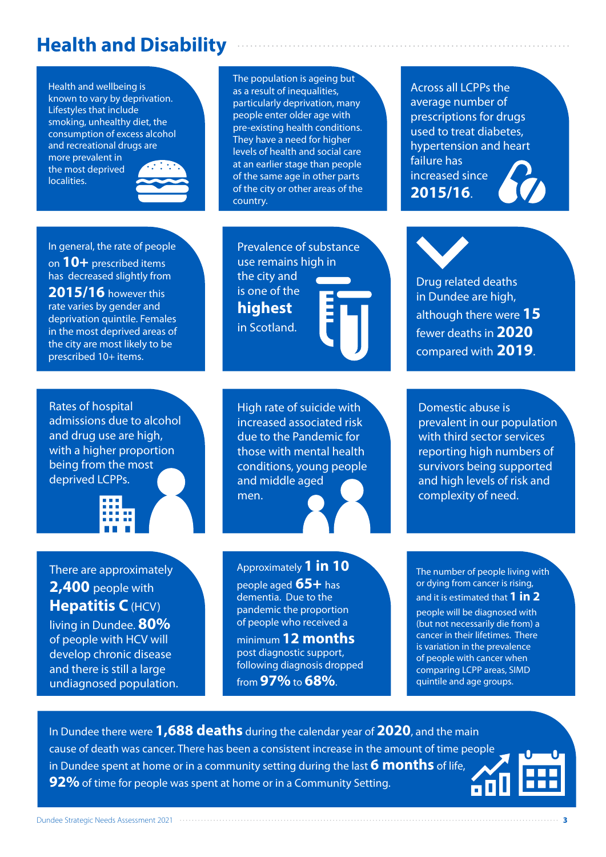### **Health and Disability**

Health and wellbeing is known to vary by deprivation. Lifestyles that include smoking, unhealthy diet, the consumption of excess alcohol and recreational drugs are more prevalent in the most deprived

localities.



#### In general, the rate of people

on **10+** prescribed items has decreased slightly from **2015/16** however this rate varies by gender and deprivation quintile. Females in the most deprived areas of the city are most likely to be prescribed 10+ items.

Rates of hospital admissions due to alcohol and drug use are high, with a higher proportion being from the most deprived LCPPs.



There are approximately **2,400** people with **Hepatitis C** (HCV)

living in Dundee. **80%**  of people with HCV will develop chronic disease and there is still a large undiagnosed population.

The population is ageing but as a result of inequalities, particularly deprivation, many people enter older age with pre-existing health conditions. They have a need for higher levels of health and social care at an earlier stage than people of the same age in other parts of the city or other areas of the country.

Prevalence of substance use remains high in the city and is one of the **highest** in Scotland.

High rate of suicide with increased associated risk due to the Pandemic for those with mental health conditions, young people and middle aged men.

Approximately **1 in 10**

people aged **65+** has dementia. Due to the pandemic the proportion of people who received a

minimum **12 months** post diagnostic support, following diagnosis dropped from **97%** to **68%**.

Across all LCPPs the average number of prescriptions for drugs used to treat diabetes, hypertension and heart failure has increased since **2015/16**.

Drug related deaths in Dundee are high, although there were **15**  fewer deaths in **2020**  compared with **2019**.

Domestic abuse is prevalent in our population with third sector services reporting high numbers of survivors being supported and high levels of risk and complexity of need.

The number of people living with or dying from cancer is rising, and it is estimated that **1 in 2** people will be diagnosed with (but not necessarily die from) a cancer in their lifetimes. There is variation in the prevalence of people with cancer when comparing LCPP areas, SIMD quintile and age groups.

In Dundee there were **1,688 deaths** during the calendar year of **2020**, and the main cause of death was cancer. There has been a consistent increase in the amount of time people in Dundee spent at home or in a community setting during the last **6 months** of life, **92%** of time for people was spent at home or in a Community Setting.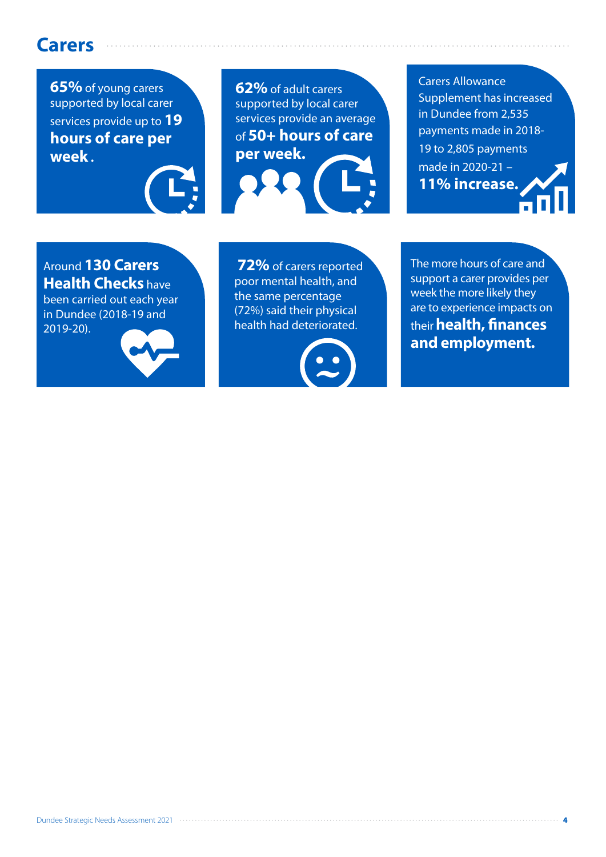### **Carers**

**65%** of young carers supported by local carer services provide up to **19 hours of care per week .**

**62%** of adult carers supported by local carer services provide an average of **50+ hours of care per week.**

Carers Allowance Supplement has increased in Dundee from 2,535 payments made in 2018- 19 to 2,805 payments made in 2020-21 – **11% increase.**

Around **130 Carers Health Checks** have been carried out each year in Dundee (2018-19 and 2019-20).



 **72%** of carers reported poor mental health, and the same percentage (72%) said their physical health had deteriorated.



The more hours of care and support a carer provides per week the more likely they are to experience impacts on their **health, finances and employment.**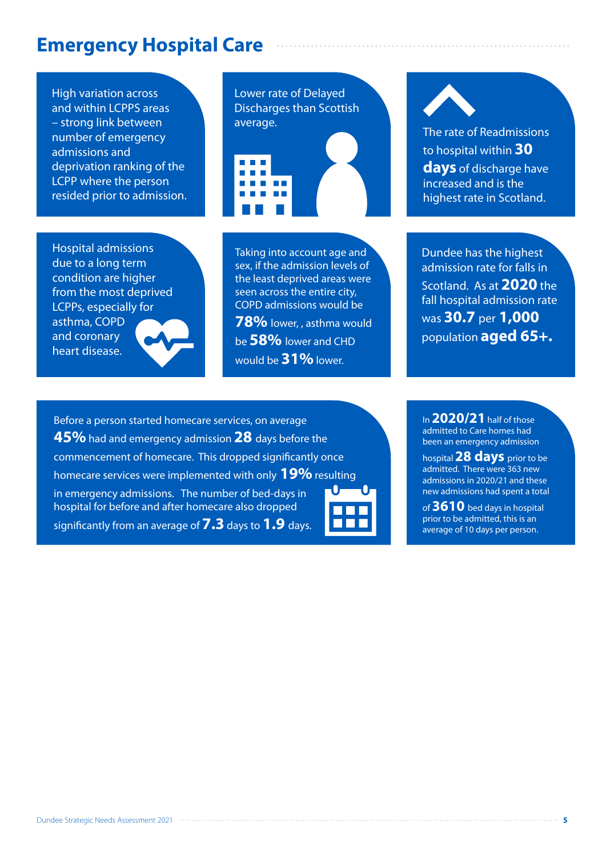### **Emergency Hospital Care**

High variation across and within LCPPS areas – strong link between number of emergency admissions and deprivation ranking of the LCPP where the person resided prior to admission.

Hospital admissions due to a long term condition are higher from the most deprived LCPPs, especially for asthma, COPD and coronary heart disease.



Taking into account age and sex, if the admission levels of the least deprived areas were seen across the entire city, COPD admissions would be **78%** lower, , asthma would

be **58%** lower and CHD would be **31%** lower.

to hospital within **30 days** of discharge have increased and is the highest rate in Scotland.

Dundee has the highest admission rate for falls in Scotland. As at **2020** the fall hospital admission rate was **30.7** per **1,000**  population **aged 65+.**

Before a person started homecare services, on average **45%** had and emergency admission **28** days before the commencement of homecare. This dropped significantly once homecare services were implemented with only **19%** resulting in emergency admissions. The number of bed-days in hospital for before and after homecare also dropped significantly from an average of **7.3** days to **1.9** days.



In **2020/21** half of those admitted to Care homes had been an emergency admission

hospital **28 days** prior to be admitted. There were 363 new admissions in 2020/21 and these new admissions had spent a total

of **3610** bed days in hospital prior to be admitted, this is an average of 10 days per person.